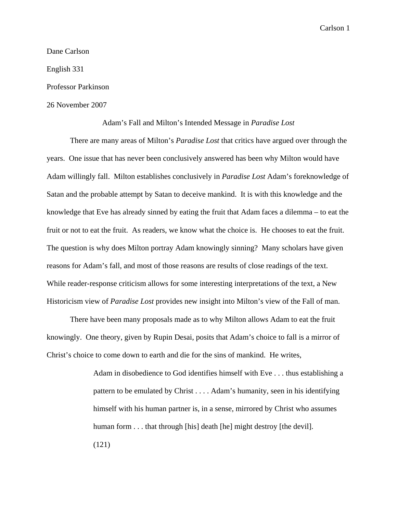Dane Carlson

English 331

Professor Parkinson

26 November 2007

## Adam's Fall and Milton's Intended Message in *Paradise Lost*

 There are many areas of Milton's *Paradise Lost* that critics have argued over through the years. One issue that has never been conclusively answered has been why Milton would have Adam willingly fall. Milton establishes conclusively in *Paradise Lost* Adam's foreknowledge of Satan and the probable attempt by Satan to deceive mankind. It is with this knowledge and the knowledge that Eve has already sinned by eating the fruit that Adam faces a dilemma – to eat the fruit or not to eat the fruit. As readers, we know what the choice is. He chooses to eat the fruit. The question is why does Milton portray Adam knowingly sinning? Many scholars have given reasons for Adam's fall, and most of those reasons are results of close readings of the text. While reader-response criticism allows for some interesting interpretations of the text, a New Historicism view of *Paradise Lost* provides new insight into Milton's view of the Fall of man.

 There have been many proposals made as to why Milton allows Adam to eat the fruit knowingly. One theory, given by Rupin Desai, posits that Adam's choice to fall is a mirror of Christ's choice to come down to earth and die for the sins of mankind. He writes,

> Adam in disobedience to God identifies himself with Eve . . . thus establishing a pattern to be emulated by Christ . . . . Adam's humanity, seen in his identifying himself with his human partner is, in a sense, mirrored by Christ who assumes human form . . . that through [his] death [he] might destroy [the devil]. (121)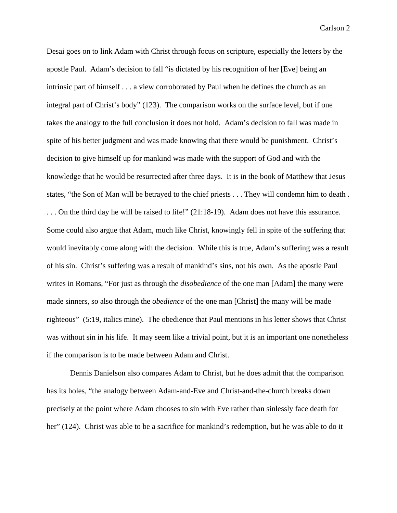Desai goes on to link Adam with Christ through focus on scripture, especially the letters by the apostle Paul. Adam's decision to fall "is dictated by his recognition of her [Eve] being an intrinsic part of himself . . . a view corroborated by Paul when he defines the church as an integral part of Christ's body" (123). The comparison works on the surface level, but if one takes the analogy to the full conclusion it does not hold. Adam's decision to fall was made in spite of his better judgment and was made knowing that there would be punishment. Christ's decision to give himself up for mankind was made with the support of God and with the knowledge that he would be resurrected after three days. It is in the book of Matthew that Jesus states, "the Son of Man will be betrayed to the chief priests . . . They will condemn him to death . . . . On the third day he will be raised to life!" (21:18-19). Adam does not have this assurance. Some could also argue that Adam, much like Christ, knowingly fell in spite of the suffering that would inevitably come along with the decision. While this is true, Adam's suffering was a result of his sin. Christ's suffering was a result of mankind's sins, not his own. As the apostle Paul writes in Romans, "For just as through the *disobedience* of the one man [Adam] the many were made sinners, so also through the *obedience* of the one man [Christ] the many will be made righteous" (5:19, italics mine). The obedience that Paul mentions in his letter shows that Christ was without sin in his life. It may seem like a trivial point, but it is an important one nonetheless if the comparison is to be made between Adam and Christ.

 Dennis Danielson also compares Adam to Christ, but he does admit that the comparison has its holes, "the analogy between Adam-and-Eve and Christ-and-the-church breaks down precisely at the point where Adam chooses to sin with Eve rather than sinlessly face death for her" (124). Christ was able to be a sacrifice for mankind's redemption, but he was able to do it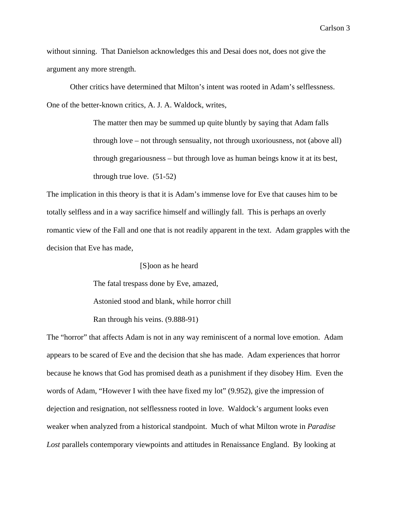without sinning. That Danielson acknowledges this and Desai does not, does not give the argument any more strength.

 Other critics have determined that Milton's intent was rooted in Adam's selflessness. One of the better-known critics, A. J. A. Waldock, writes,

> The matter then may be summed up quite bluntly by saying that Adam falls through love – not through sensuality, not through uxoriousness, not (above all) through gregariousness – but through love as human beings know it at its best, through true love. (51-52)

The implication in this theory is that it is Adam's immense love for Eve that causes him to be totally selfless and in a way sacrifice himself and willingly fall. This is perhaps an overly romantic view of the Fall and one that is not readily apparent in the text. Adam grapples with the decision that Eve has made,

[S]oon as he heard

The fatal trespass done by Eve, amazed,

Astonied stood and blank, while horror chill

Ran through his veins. (9.888-91)

The "horror" that affects Adam is not in any way reminiscent of a normal love emotion. Adam appears to be scared of Eve and the decision that she has made. Adam experiences that horror because he knows that God has promised death as a punishment if they disobey Him. Even the words of Adam, "However I with thee have fixed my lot" (9.952), give the impression of dejection and resignation, not selflessness rooted in love. Waldock's argument looks even weaker when analyzed from a historical standpoint. Much of what Milton wrote in *Paradise Lost* parallels contemporary viewpoints and attitudes in Renaissance England. By looking at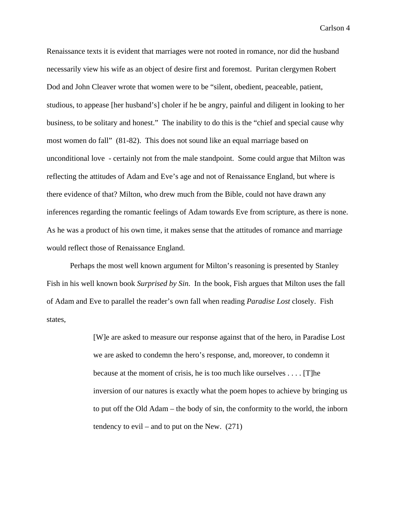Renaissance texts it is evident that marriages were not rooted in romance, nor did the husband necessarily view his wife as an object of desire first and foremost. Puritan clergymen Robert Dod and John Cleaver wrote that women were to be "silent, obedient, peaceable, patient, studious, to appease [her husband's] choler if he be angry, painful and diligent in looking to her business, to be solitary and honest." The inability to do this is the "chief and special cause why most women do fall" (81-82). This does not sound like an equal marriage based on unconditional love - certainly not from the male standpoint. Some could argue that Milton was reflecting the attitudes of Adam and Eve's age and not of Renaissance England, but where is there evidence of that? Milton, who drew much from the Bible, could not have drawn any inferences regarding the romantic feelings of Adam towards Eve from scripture, as there is none. As he was a product of his own time, it makes sense that the attitudes of romance and marriage would reflect those of Renaissance England.

 Perhaps the most well known argument for Milton's reasoning is presented by Stanley Fish in his well known book *Surprised by Sin*. In the book, Fish argues that Milton uses the fall of Adam and Eve to parallel the reader's own fall when reading *Paradise Lost* closely. Fish states,

> [W]e are asked to measure our response against that of the hero, in Paradise Lost we are asked to condemn the hero's response, and, moreover, to condemn it because at the moment of crisis, he is too much like ourselves . . . . [T]he inversion of our natures is exactly what the poem hopes to achieve by bringing us to put off the Old Adam – the body of sin, the conformity to the world, the inborn tendency to evil – and to put on the New.  $(271)$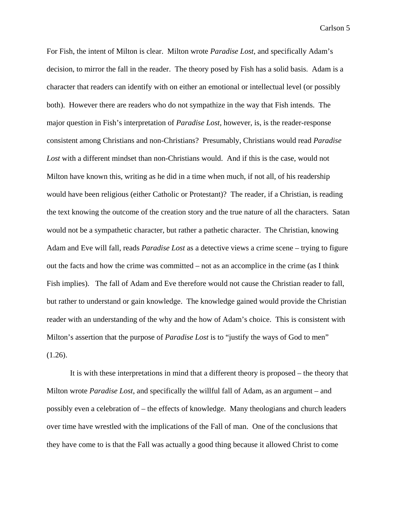For Fish, the intent of Milton is clear. Milton wrote *Paradise Lost*, and specifically Adam's decision, to mirror the fall in the reader. The theory posed by Fish has a solid basis. Adam is a character that readers can identify with on either an emotional or intellectual level (or possibly both). However there are readers who do not sympathize in the way that Fish intends. The major question in Fish's interpretation of *Paradise Lost,* however, is, is the reader-response consistent among Christians and non-Christians? Presumably, Christians would read *Paradise Lost* with a different mindset than non-Christians would. And if this is the case, would not Milton have known this, writing as he did in a time when much, if not all, of his readership would have been religious (either Catholic or Protestant)? The reader, if a Christian, is reading the text knowing the outcome of the creation story and the true nature of all the characters. Satan would not be a sympathetic character, but rather a pathetic character. The Christian, knowing Adam and Eve will fall, reads *Paradise Lost* as a detective views a crime scene – trying to figure out the facts and how the crime was committed – not as an accomplice in the crime (as I think Fish implies). The fall of Adam and Eve therefore would not cause the Christian reader to fall, but rather to understand or gain knowledge. The knowledge gained would provide the Christian reader with an understanding of the why and the how of Adam's choice. This is consistent with Milton's assertion that the purpose of *Paradise Lost* is to "justify the ways of God to men"  $(1.26)$ .

 It is with these interpretations in mind that a different theory is proposed – the theory that Milton wrote *Paradise Lost*, and specifically the willful fall of Adam, as an argument – and possibly even a celebration of – the effects of knowledge. Many theologians and church leaders over time have wrestled with the implications of the Fall of man. One of the conclusions that they have come to is that the Fall was actually a good thing because it allowed Christ to come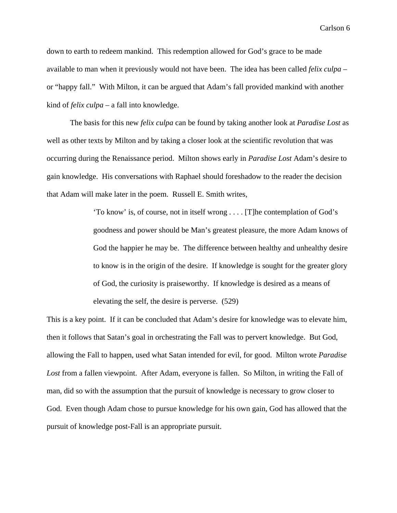down to earth to redeem mankind. This redemption allowed for God's grace to be made available to man when it previously would not have been. The idea has been called *felix culpa* – or "happy fall." With Milton, it can be argued that Adam's fall provided mankind with another kind of *felix culpa* – a fall into knowledge.

 The basis for this new *felix culpa* can be found by taking another look at *Paradise Lost* as well as other texts by Milton and by taking a closer look at the scientific revolution that was occurring during the Renaissance period. Milton shows early in *Paradise Lost* Adam's desire to gain knowledge. His conversations with Raphael should foreshadow to the reader the decision that Adam will make later in the poem. Russell E. Smith writes,

> 'To know' is, of course, not in itself wrong . . . . [T]he contemplation of God's goodness and power should be Man's greatest pleasure, the more Adam knows of God the happier he may be. The difference between healthy and unhealthy desire to know is in the origin of the desire. If knowledge is sought for the greater glory of God, the curiosity is praiseworthy. If knowledge is desired as a means of elevating the self, the desire is perverse. (529)

This is a key point. If it can be concluded that Adam's desire for knowledge was to elevate him, then it follows that Satan's goal in orchestrating the Fall was to pervert knowledge. But God, allowing the Fall to happen, used what Satan intended for evil, for good. Milton wrote *Paradise Lost* from a fallen viewpoint. After Adam, everyone is fallen. So Milton, in writing the Fall of man, did so with the assumption that the pursuit of knowledge is necessary to grow closer to God. Even though Adam chose to pursue knowledge for his own gain, God has allowed that the pursuit of knowledge post-Fall is an appropriate pursuit.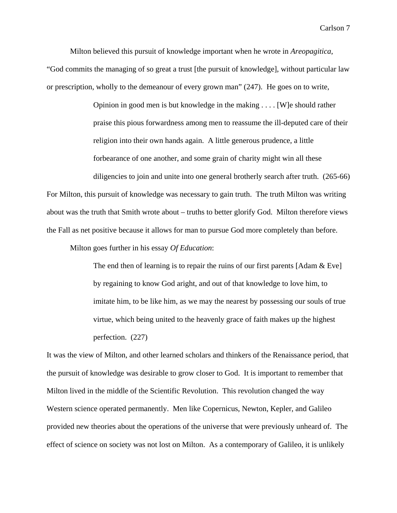Milton believed this pursuit of knowledge important when he wrote in *Areopagitica*,

"God commits the managing of so great a trust [the pursuit of knowledge], without particular law or prescription, wholly to the demeanour of every grown man" (247). He goes on to write,

> Opinion in good men is but knowledge in the making . . . . [W]e should rather praise this pious forwardness among men to reassume the ill-deputed care of their religion into their own hands again. A little generous prudence, a little forbearance of one another, and some grain of charity might win all these

 diligencies to join and unite into one general brotherly search after truth. (265-66) For Milton, this pursuit of knowledge was necessary to gain truth. The truth Milton was writing about was the truth that Smith wrote about – truths to better glorify God. Milton therefore views the Fall as net positive because it allows for man to pursue God more completely than before.

Milton goes further in his essay *Of Education*:

The end then of learning is to repair the ruins of our first parents [Adam & Eve] by regaining to know God aright, and out of that knowledge to love him, to imitate him, to be like him, as we may the nearest by possessing our souls of true virtue, which being united to the heavenly grace of faith makes up the highest perfection. (227)

It was the view of Milton, and other learned scholars and thinkers of the Renaissance period, that the pursuit of knowledge was desirable to grow closer to God. It is important to remember that Milton lived in the middle of the Scientific Revolution. This revolution changed the way Western science operated permanently. Men like Copernicus, Newton, Kepler, and Galileo provided new theories about the operations of the universe that were previously unheard of. The effect of science on society was not lost on Milton. As a contemporary of Galileo, it is unlikely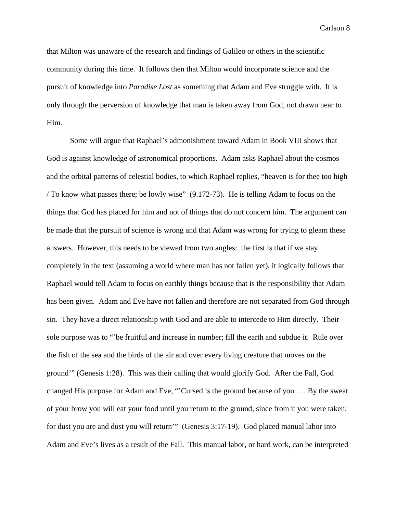that Milton was unaware of the research and findings of Galileo or others in the scientific community during this time. It follows then that Milton would incorporate science and the pursuit of knowledge into *Paradise Lost* as something that Adam and Eve struggle with. It is only through the perversion of knowledge that man is taken away from God, not drawn near to Him.

 Some will argue that Raphael's admonishment toward Adam in Book VIII shows that God is against knowledge of astronomical proportions. Adam asks Raphael about the cosmos and the orbital patterns of celestial bodies, to which Raphael replies, "heaven is for thee too high / To know what passes there; be lowly wise" (9.172-73). He is telling Adam to focus on the things that God has placed for him and not of things that do not concern him. The argument can be made that the pursuit of science is wrong and that Adam was wrong for trying to gleam these answers. However, this needs to be viewed from two angles: the first is that if we stay completely in the text (assuming a world where man has not fallen yet), it logically follows that Raphael would tell Adam to focus on earthly things because that is the responsibility that Adam has been given. Adam and Eve have not fallen and therefore are not separated from God through sin. They have a direct relationship with God and are able to intercede to Him directly. Their sole purpose was to "'be fruitful and increase in number; fill the earth and subdue it. Rule over the fish of the sea and the birds of the air and over every living creature that moves on the ground'" (Genesis 1:28). This was their calling that would glorify God. After the Fall, God changed His purpose for Adam and Eve, "'Cursed is the ground because of you . . . By the sweat of your brow you will eat your food until you return to the ground, since from it you were taken; for dust you are and dust you will return'" (Genesis 3:17-19). God placed manual labor into Adam and Eve's lives as a result of the Fall. This manual labor, or hard work, can be interpreted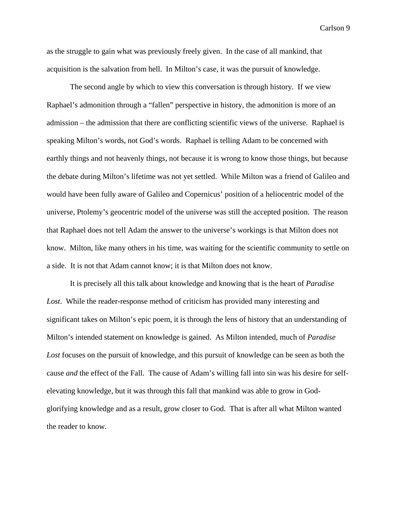as the struggle to gain what was previously freely given. In the case of all mankind, that acquisition is the salvation from hell. In Milton's case, it was the pursuit of knowledge.

 The second angle by which to view this conversation is through history. If we view Raphael's admonition through a "fallen" perspective in history, the admonition is more of an admission – the admission that there are conflicting scientific views of the universe. Raphael is speaking Milton's words, not God's words. Raphael is telling Adam to be concerned with earthly things and not heavenly things, not because it is wrong to know those things, but because the debate during Milton's lifetime was not yet settled. While Milton was a friend of Galileo and would have been fully aware of Galileo and Copernicus' position of a heliocentric model of the universe, Ptolemy's geocentric model of the universe was still the accepted position. The reason that Raphael does not tell Adam the answer to the universe's workings is that Milton does not know. Milton, like many others in his time, was waiting for the scientific community to settle on a side. It is not that Adam cannot know; it is that Milton does not know.

 It is precisely all this talk about knowledge and knowing that is the heart of *Paradise Lost*. While the reader-response method of criticism has provided many interesting and significant takes on Milton's epic poem, it is through the lens of history that an understanding of Milton's intended statement on knowledge is gained. As Milton intended, much of *Paradise Lost* focuses on the pursuit of knowledge, and this pursuit of knowledge can be seen as both the cause *and* the effect of the Fall. The cause of Adam's willing fall into sin was his desire for selfelevating knowledge, but it was through this fall that mankind was able to grow in Godglorifying knowledge and as a result, grow closer to God. That is after all what Milton wanted the reader to know.